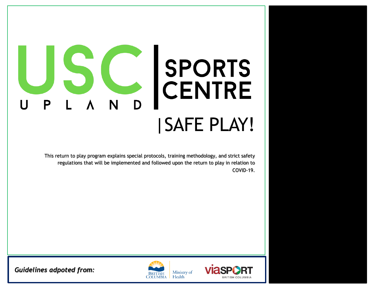# SPORTS  $\overline{a}$ **CENTRE** Ρ D |SAFE PLAY!

This return to play program explains special protocols, training methodology, and strict safety regulations that will be implemented and followed upon the return to play in relation to COVID-19.





*Guidelines adpoted from:*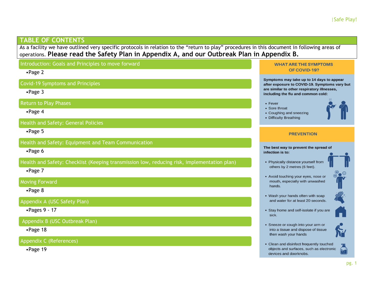#### **TABLE OF CONTENTS**

As a facility we have outlined very specific protocols in relation to the "return to play" procedures in this document in following areas of operations. **Please read the Safety Plan in Appendix A, and our Outbreak Plan in Appendix B.**

Introduction: Goals and Principles to move forward **WHAT ARE THE SYMPTOMS** OF COVID-19? •Page 2 Symptoms may take up to 14 days to appear Covid-19 Symptoms and Principles after exposure to COVID-19. Symptoms vary but are similar to other respiratory illnesses, •Page 3 including the flu and common cold: Return to Play Phases  $\cdot$  Fever • Sore throat •Page 4 • Coughing and sneezing • Difficulty Breathing Health and Safety: General Policies •Page 5 **PREVENTION** Health and Safety: Equipment and Team Communication The best way to prevent the spread of •Page 6 infection is to: Health and Safety: Checklist (Keeping transmission low, reducing risk, implementation plan) • Physically distance yourself from others by 2 metres (6 feet). •Page 7 • Avoid touching your eyes, nose or Moving Forward mouth, especially with unwashed hands. •Page 8 • Wash your hands often with soap and water for at least 20 seconds. Appendix A (USC Safety Plan) •Pages 9 - 17 • Stay home and self-isolate if you are sick. Appendix B (USC Outbreak Plan) • Sneeze or cough into your arm or •Page 18 into a tissue and dispose of tissue then wash your hands Appendix C (References) • Clean and disinfect frequently touched 人名 •Page 19objects and surfaces, such as electronic devices and doorknobs.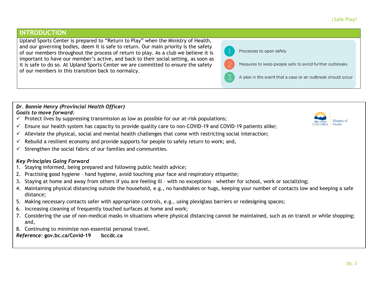## **INTRODUCTION**

Upland Sports Center is prepared to "Return to Play" when the Ministry of Health, and our governing bodies, deem it is safe to return. Our main priority is the safety of our members throughout the process of return to play. As a club we believe it is important to have our member's active, and back to their social setting, as soon as it is safe to do so. At Upland Sports Center we are committed to ensure the safety of our members in this transition back to normalcy.

#### Processes to open safely

Measures to keep people safe to avoid further outbreaks

A plan in the event that a case or an outbreak should occur

#### *Dr. Bonnie Henry (Provincial Health Officer) Goals to move forward:*

- $\checkmark$  Protect lives by suppressing transmission as low as possible for our at-risk populations;
- $\checkmark$  Ensure our health system has capacity to provide quality care to non-COVID-19 and COVID-19 patients alike;
- $\checkmark$  Alleviate the physical, social and mental health challenges that come with restricting social interaction;
- $\checkmark$  Rebuild a resilient economy and provide supports for people to safely return to work; and,
- $\checkmark$  Strengthen the social fabric of our families and communities.

#### *Key Principles Going Forward*

- 1. Staying informed, being prepared and following public health advice;
- 2. Practising good hygiene hand hygiene, avoid touching your face and respiratory etiquette;
- 3. Staying at home and away from others if you are feeling ill with no exceptions whether for school, work or socializing;
- 4. Maintaining physical distancing outside the household, e.g., no handshakes or hugs, keeping your number of contacts low and keeping a safe distance;
- 5. Making necessary contacts safer with appropriate controls, e.g., using plexiglass barriers or redesigning spaces;
- 6. Increasing cleaning of frequently touched surfaces at home and work;
- 7. Considering the use of non-medical masks in situations where physical distancing cannot be maintained, such as on transit or while shopping; and,
- 8. Continuing to minimize non-essential personal travel.

*Reference:* **gov.bc.ca/Covid-19 bccdc.ca** 

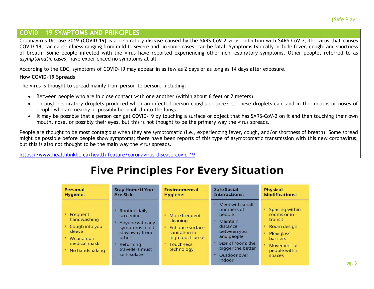## **COVID – 19 SYMPTOMS AND PRINCIPLES**

Coronavirus Disease 2019 (COVID-19) is a respiratory disease caused by the SARS-CoV-2 virus. Infection with SARS-CoV-2, the virus that causes COVID-19, can cause illness ranging from mild to severe and, in some cases, can be fatal. Symptoms typically include fever, cough, and shortness of breath. Some people infected with the virus have reported experiencing other non-respiratory symptoms. Other people, referred to as *asymptomatic cases*, have experienced no symptoms at all.

According to the CDC, symptoms of COVID-19 may appear in as few as 2 days or as long as 14 days after exposure.

#### **How COVID-19 Spreads**

The virus is thought to spread mainly from person-to-person, including:

- Between people who are in close contact with one another (within about 6 feet or 2 meters).
- Through respiratory droplets produced when an infected person coughs or sneezes. These droplets can land in the mouths or noses of people who are nearby or possibly be inhaled into the lungs.
- It may be possible that a person can get COVID-19 by touching a surface or object that has SARS-CoV-2 on it and then touching their own mouth, nose, or possibly their eyes, but this is not thought to be the primary way the virus spreads.

People are thought to be most contagious when they are symptomatic (i.e., experiencing fever, cough, and/or shortness of breath). Some spread might be possible before people show symptoms; there have been reports of this type of asymptomatic transmission with this new coronavirus, but this is also not thought to be the main way the virus spreads.

<https://www.healthlinkbc.ca/health-feature/coronavirus-disease-covid-19>

## **Five Principles For Every Situation**

| Personal                                                                                                            | <b>Stay Home if You</b>                                                                                                                    | Environmental                                                                                                       | <b>Safe Social</b>                                                                                                                                                          | <b>Physical</b>                                                                                                                                               |
|---------------------------------------------------------------------------------------------------------------------|--------------------------------------------------------------------------------------------------------------------------------------------|---------------------------------------------------------------------------------------------------------------------|-----------------------------------------------------------------------------------------------------------------------------------------------------------------------------|---------------------------------------------------------------------------------------------------------------------------------------------------------------|
| <b>Hygiene:</b>                                                                                                     | <b>Are Sick:</b>                                                                                                                           | Hygiene:                                                                                                            | <b>Interactions:</b>                                                                                                                                                        | <b>Modifications:</b>                                                                                                                                         |
| • Frequent<br>handwashing<br>• Cough into your<br>sleeve<br>$\cdot$ Wear a non-<br>medical mask<br>• No handshaking | Routine daily<br>screening<br>Anyone with any<br>symptoms must<br>stay away from<br>others<br>Returning<br>travellers must<br>self-isolate | • More frequent<br>cleaning<br>• Enhance surface<br>sanitation in<br>high touch areas<br>• Touch-less<br>technology | • Meet with small<br>numbers of<br>people<br>Maintain<br>٠<br>distance<br>between you<br>and people<br>• Size of room: the<br>bigger the better<br>• Outdoor over<br>indoor | Spacing within<br>٠<br>rooms or in<br>transit<br>Room design<br>٠<br>٠<br><b>Plexiglass</b><br><b>barriers</b><br>٠<br>Movement of<br>people within<br>spaces |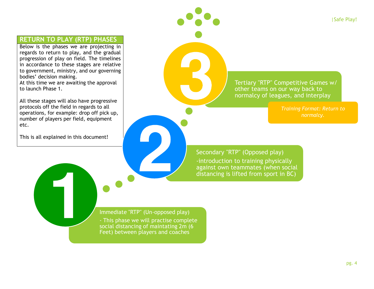## **RETURN TO PLAY (RTP) PHASES**

Below is the phases we are projecting in regards to return to play, and the gradual progression of play on field. The timelines in accordance to these stages are relative to government, ministry, and our governing bodies' decision making. At this time we are awaiting the approval to launch Phase 1.

All these stages will also have progressive protocols off the field in regards to all operations, for example: drop off pick up, number of players per field, equipment etc.

This is all explained in this document!

Tertiary "RTP" Competitive Games w/ other teams on our way back to normalcy of leagues, and interplay

*normalcy.* 

Secondary "RTP" (Opposed play) -introduction to training physically against own teammates (when social distancing is lifted from sport in BC)

#### Immediate "RTP" (Un-opposed play)

- This phase we will practise complete social distancing of maintating 2m (6 Feet) between players and coaches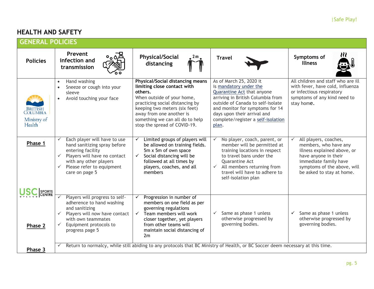## **HEALTH AND SAFETY**

| <b>GENERAL POLICIES</b>                                    |                                                                                                                                                                                                                            |                                                                                                                                                                                                                                                                                    |                                                                                                                                                                                                                                                                            |                                                                                                                                                                                            |  |
|------------------------------------------------------------|----------------------------------------------------------------------------------------------------------------------------------------------------------------------------------------------------------------------------|------------------------------------------------------------------------------------------------------------------------------------------------------------------------------------------------------------------------------------------------------------------------------------|----------------------------------------------------------------------------------------------------------------------------------------------------------------------------------------------------------------------------------------------------------------------------|--------------------------------------------------------------------------------------------------------------------------------------------------------------------------------------------|--|
| <b>Policies</b>                                            | Prevent<br>infection and<br>transmission                                                                                                                                                                                   | <b>Physical/Social</b><br>2 m<br>distancing                                                                                                                                                                                                                                        | <b>Travel</b>                                                                                                                                                                                                                                                              | Symptoms of<br><b>Illness</b>                                                                                                                                                              |  |
| <b>BRITISH</b><br><b>COLUMBIA</b><br>Ministry of<br>Health | Hand washing<br>$\bullet$<br>Sneeze or cough into your<br>sleeve<br>Avoid touching your face<br>$\bullet$                                                                                                                  | <b>Physical/Social distancing means</b><br>limiting close contact with<br>others.<br>When outside of your home,<br>practicing social distancing by<br>keeping two meters (six feet)<br>away from one another is<br>something we can all do to help<br>stop the spread of COVID-19. | As of March 25, 2020 it<br>is mandatory under the<br>Quarantine Act that anyone<br>arriving in British Columbia from<br>outside of Canada to self-isolate<br>and monitor for symptoms for 14<br>days upon their arrival and<br>complete/register a self-isolation<br>plan. | All children and staff who are ill<br>with fever, have cold, influenza<br>or infectious respiratory<br>symptoms of any kind need to<br>stay home.                                          |  |
| Phase 1                                                    | Each player will have to use<br>hand sanitizing spray before<br>entering facility<br>$\checkmark$<br>Players will have no contact<br>with any other players<br>Please refer to equipment<br>$\checkmark$<br>care on page 5 | Limited groups of players will<br>be allowed on training fields.<br>5m x 5m of own space<br>Social distancing will be<br>followed at all times by<br>players, coaches, and all<br>members                                                                                          | No player, coach, parent, or<br>$\checkmark$<br>member will be permitted at<br>training locations in respect<br>to travel bans under the<br>Quarantine Act<br>All members returning from<br>$\checkmark$<br>travel will have to adhere to<br>self-isolation plan           | All players, coaches,<br>members, who have any<br>illness explained above, or<br>have anyone in their<br>immediate family have<br>symptoms of the above, will<br>be asked to stay at home. |  |
| SPORTS<br>CENTRE<br>Phase 2                                | Players will progress to self-<br>adherence to hand washing<br>and sanitizing<br>Players will now have contact<br>$\checkmark$<br>with own teammates<br>Equipment protocols to<br>$\checkmark$<br>progress page 5          | Progression in number of<br>✓<br>members on one field as per<br>governing regulations<br>Team members will work<br>closer together, yet players<br>from other teams will<br>maintain social distancing of<br>2m                                                                    | Same as phase 1 unless<br>$\checkmark$<br>otherwise progressed by<br>governing bodies.                                                                                                                                                                                     | Same as phase 1 unless<br>$\checkmark$<br>otherwise progressed by<br>governing bodies.                                                                                                     |  |
| Phase 3                                                    | $\checkmark$                                                                                                                                                                                                               | Return to normalcy, while still abiding to any protocols that BC Ministry of Health, or BC Soccer deem necessary at this time.                                                                                                                                                     |                                                                                                                                                                                                                                                                            |                                                                                                                                                                                            |  |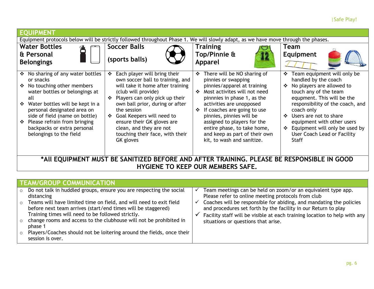#### |Safe Play!

| <b>EQUIPMENT</b>                                                                                                                                                                                                                                                                                                                                 |                                                                                                                                                                                                                                                                                                                                                                            |                                                                                                                                                                                                                                                                                                                                                                                                |                                                                                                                                                                                                                                                                                                                                                                 |  |  |
|--------------------------------------------------------------------------------------------------------------------------------------------------------------------------------------------------------------------------------------------------------------------------------------------------------------------------------------------------|----------------------------------------------------------------------------------------------------------------------------------------------------------------------------------------------------------------------------------------------------------------------------------------------------------------------------------------------------------------------------|------------------------------------------------------------------------------------------------------------------------------------------------------------------------------------------------------------------------------------------------------------------------------------------------------------------------------------------------------------------------------------------------|-----------------------------------------------------------------------------------------------------------------------------------------------------------------------------------------------------------------------------------------------------------------------------------------------------------------------------------------------------------------|--|--|
| Equipment protocols below will be strictly followed throughout Phase 1. We will slowly adapt, as we have move through the phases.                                                                                                                                                                                                                |                                                                                                                                                                                                                                                                                                                                                                            |                                                                                                                                                                                                                                                                                                                                                                                                |                                                                                                                                                                                                                                                                                                                                                                 |  |  |
| <b>Water Bottles</b>                                                                                                                                                                                                                                                                                                                             | <b>Soccer Balls</b>                                                                                                                                                                                                                                                                                                                                                        | <b>Training</b>                                                                                                                                                                                                                                                                                                                                                                                | Team                                                                                                                                                                                                                                                                                                                                                            |  |  |
| & Personal<br><b>Belongings</b>                                                                                                                                                                                                                                                                                                                  | (sports balls)                                                                                                                                                                                                                                                                                                                                                             | Top/Pinnie &<br><b>Apparel</b>                                                                                                                                                                                                                                                                                                                                                                 | <b>Equipment</b>                                                                                                                                                                                                                                                                                                                                                |  |  |
| No sharing of any water bottles<br>❖<br>or snacks<br>❖ No touching other members<br>water bottles or belongings at<br>all<br>Water bottles will be kept in a<br>豪<br>personal designated area on<br>side of field (name on bottle)<br>Please refrain from bringing<br>$\ddot{\bullet}$<br>backpacks or extra personal<br>belongings to the field | Each player will bring their<br>❖<br>own soccer ball to training, and<br>will take it home after training<br>(club will provide)<br>Players can only pick up their<br>$\cdot$<br>own ball prior, during or after<br>the session<br>Goal Keepers will need to<br>❖<br>ensure their GK gloves are<br>clean, and they are not<br>touching their face, with their<br>GK gloves | There will be NO sharing of<br>❖<br>pinnies or swapping<br>pinnies/apparel at training<br>Most activites will not need<br>$\mathbf{A}$<br>pinnnies in phase 1, as the<br>activities are unopposed<br>If coaches are going to use<br>❖<br>pinnies, pinnies will be<br>assigned to players for the<br>entire phase, to take home,<br>and keep as part of their own<br>kit, to wash and sanitize. | Team equipment will only be<br>❖<br>handled by the coach<br>No players are allowed to<br>$\cdot$<br>touch any of the team<br>equpment. This will be the<br>responsibility of the coach, and<br>coach only<br>Users are not to share<br>$\cdot$<br>equipment with other users<br>❖ Equipment will only be used by<br>User Coach Lead or Facility<br><b>Staff</b> |  |  |
| *AII EQUIPMENT MUST BE SANITIZED BEFORE AND AFTER TRAINING. PLEASE BE RESPONSIBLE IN GOOD<br><b>HYGIENE TO KEEP OUR MEMBERS SAFE.</b>                                                                                                                                                                                                            |                                                                                                                                                                                                                                                                                                                                                                            |                                                                                                                                                                                                                                                                                                                                                                                                |                                                                                                                                                                                                                                                                                                                                                                 |  |  |

| TEAM/GROUP COMMUNICATION                                                                                                                                                                                                                                                                                                                                                                                                                                                              |                                                                                                                                                                                                                                                                                                                                                                                 |
|---------------------------------------------------------------------------------------------------------------------------------------------------------------------------------------------------------------------------------------------------------------------------------------------------------------------------------------------------------------------------------------------------------------------------------------------------------------------------------------|---------------------------------------------------------------------------------------------------------------------------------------------------------------------------------------------------------------------------------------------------------------------------------------------------------------------------------------------------------------------------------|
| $\circ$ Do not talk in huddled groups, ensure you are respecting the social<br>distancing<br>$\circ$ Teams will have limited time on field, and will need to exit field<br>before next team arrives (start/end times will be staggered)<br>Training times will need to be followed strictly.<br>change rooms and access to the clubhouse will not be prohibited in<br>phase 1<br>Players/Coaches should not be loitering around the fields, once their<br>$\circ$<br>session is over. | Team meetings can be held on zoom/or an equivalent type app.<br>Please refer to online meeting protocols from club<br>Coaches will be responsible for abiding, and mandating the policies<br>and procedures set forth by the facility in our Return to play<br>Facility staff will be visible at each training location to help with any<br>situations or questions that arise. |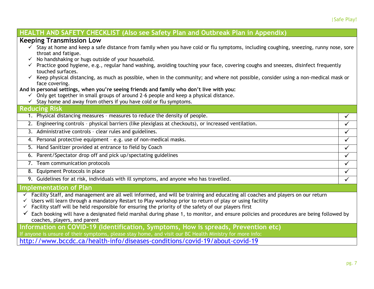| HEALTH AND SAFETY CHECKLIST (Also see Safety Plan and Outbreak Plan in Appendix)                                                                                                                                                                                                                                                                                                                                                                                                                                                                                                                                                                                                                                                                                                                                                                 |              |
|--------------------------------------------------------------------------------------------------------------------------------------------------------------------------------------------------------------------------------------------------------------------------------------------------------------------------------------------------------------------------------------------------------------------------------------------------------------------------------------------------------------------------------------------------------------------------------------------------------------------------------------------------------------------------------------------------------------------------------------------------------------------------------------------------------------------------------------------------|--------------|
| <b>Keeping Transmission Low</b>                                                                                                                                                                                                                                                                                                                                                                                                                                                                                                                                                                                                                                                                                                                                                                                                                  |              |
| $\checkmark$ Stay at home and keep a safe distance from family when you have cold or flu symptoms, including coughing, sneezing, runny nose, sore<br>throat and fatigue.<br>No handshaking or hugs outside of your household.<br>√ Practice good hygiene, e.g., regular hand washing, avoiding touching your face, covering coughs and sneezes, disinfect frequently<br>touched surfaces.<br>$\checkmark$ Keep physical distancing, as much as possible, when in the community; and where not possible, consider using a non-medical mask or<br>face covering.<br>And in personal settings, when you're seeing friends and family who don't live with you:<br>$\checkmark$ Only get together in small groups of around 2-6 people and keep a physical distance.<br>$\checkmark$ Stay home and away from others if you have cold or flu symptoms. |              |
| <b>Reducing Risk</b>                                                                                                                                                                                                                                                                                                                                                                                                                                                                                                                                                                                                                                                                                                                                                                                                                             |              |
| 1. Physical distancing measures - measures to reduce the density of people.                                                                                                                                                                                                                                                                                                                                                                                                                                                                                                                                                                                                                                                                                                                                                                      | $\checkmark$ |
| 2. Engineering controls - physical barriers (like plexiglass at checkouts), or increased ventilation.                                                                                                                                                                                                                                                                                                                                                                                                                                                                                                                                                                                                                                                                                                                                            | $\checkmark$ |
| 3. Administrative controls - clear rules and guidelines.                                                                                                                                                                                                                                                                                                                                                                                                                                                                                                                                                                                                                                                                                                                                                                                         | $\checkmark$ |
| 4. Personal protective equipment - e.g. use of non-medical masks.                                                                                                                                                                                                                                                                                                                                                                                                                                                                                                                                                                                                                                                                                                                                                                                | $\checkmark$ |
| 5. Hand Sanitizer provided at entrance to field by Coach                                                                                                                                                                                                                                                                                                                                                                                                                                                                                                                                                                                                                                                                                                                                                                                         | $\checkmark$ |
| 6. Parent/Spectator drop off and pick up/spectating guidelines                                                                                                                                                                                                                                                                                                                                                                                                                                                                                                                                                                                                                                                                                                                                                                                   | $\checkmark$ |
| 7. Team communication protocols                                                                                                                                                                                                                                                                                                                                                                                                                                                                                                                                                                                                                                                                                                                                                                                                                  | $\checkmark$ |
| 8. Equipment Protocols in place                                                                                                                                                                                                                                                                                                                                                                                                                                                                                                                                                                                                                                                                                                                                                                                                                  | $\checkmark$ |
| 9. Guidelines for at risk, individuals with ill symptoms, and anyone who has travelled.                                                                                                                                                                                                                                                                                                                                                                                                                                                                                                                                                                                                                                                                                                                                                          | $\checkmark$ |
| Implementation of Plan                                                                                                                                                                                                                                                                                                                                                                                                                                                                                                                                                                                                                                                                                                                                                                                                                           |              |
| Facility Staff, and management are all well informed, and will be training and educating all coaches and players on our return<br>Users will learn through a mandatory Restart to Play workshop prior to return of play or using facility<br>Facility staff will be held responsible for ensuring the priority of the safety of our players first<br>Each booking will have a designated field marshal during phase 1, to monitor, and ensure policies and procedures are being followed by<br>coaches, players, and parent                                                                                                                                                                                                                                                                                                                      |              |
| Information on COVID-19 (Identification, Symptoms, How is spreads, Prevention etc)<br>If anyone is unsure of their symptoms, please stay home, and visit our BC Health Ministry for more info:                                                                                                                                                                                                                                                                                                                                                                                                                                                                                                                                                                                                                                                   |              |
| http://www.bccdc.ca/health-info/diseases-conditions/covid-19/about-covid-19                                                                                                                                                                                                                                                                                                                                                                                                                                                                                                                                                                                                                                                                                                                                                                      |              |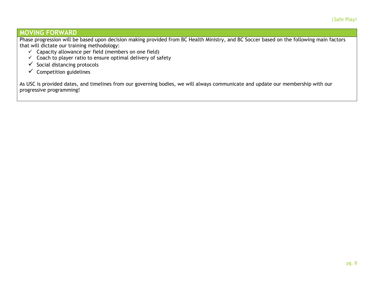## **MOVING FORWARD**

Phase progression will be based upon decision making provided from BC Health Ministry, and BC Soccer based on the following main factors that will dictate our training methodology:

- $\checkmark$  Capacity allowance per field (members on one field)
- $\checkmark$  Coach to player ratio to ensure optimal delivery of safety
- $\checkmark$  Social distancing protocols
- $\checkmark$  Competition guidelines

As USC is provided dates, and timelines from our governing bodies, we will always communicate and update our membership with our progressive programming!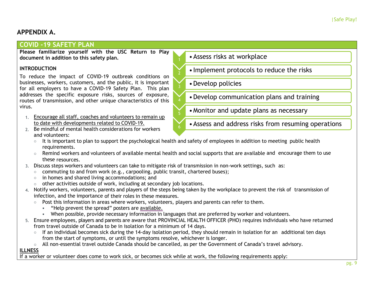## **APPENDIX A.**

## **COVID -19 SAFETY PLAN**

**Please familiarize yourself with the USC Return to Play document in addition to this safety plan.** 

#### **INTRODUCTION**

To reduce the impact of COVID-19 outbreak conditions on businesses, workers, customers, and the public, it is important for all employers to have a COVID-19 Safety Plan. This plan addresses the specific exposure risks, sources of exposure, routes of transmission, and other unique characteristics of this virus.

- 1. Encourage all staff, coaches and volunteers to remain up to date with developments related to [COVID-19.](http://www.alberta.ca/COVID19)
- 2. Be mindful of mental health considerations for workers and volunteers:

## •Assess risks at workplace

- •Implement protocols to reduce the risks
- •Develop policies
- •Develop communication plans and training
- •Monitor and update plans as necessary
- •Assess and address risks from resuming operations
- o It is important to plan to support the psychological health and safety of employees in addition to meeting public health requirements.

2

5

- $\circ$  Remind workers and volunteers of available mental health and social supports that are available and encourage them to use these resources.
- 3. Discuss steps workers and volunteers can take to mitigate risk of transmission in non-work settings, such as:
	- $\circ$  commuting to and from work (e.g., carpooling, public transit, chartered buses);
	- o in homes and shared living accommodations; and
	- o other activities outside of work, including at secondary job locations.
- 4. Notify workers, volunteers, parents and players of the steps being taken by the workplace to prevent the risk of transmission of infection, and the importance of their roles in these measures.
	- $\circ$  Post this information in areas where workers, volunteers, players and parents can refer to them.
		- "Help prevent the spread" posters are [available.](https://open.alberta.ca/publications/covid-19-information-help-prevent-the-spread-poster)
		- When possible, provide necessary information in languages that are preferred by worker and volunteers.
- 5. Ensure employees, players and parents are aware that PROVINCIAL HEALTH OFFICER (PHO) requires individuals who have returned from travel outside of Canada to be in isolation for a minimum of 14 days.
	- $\circ$  If an individual becomes sick during the 14-day isolation period, they should remain in isolation for an additional ten days from the start of symptoms, or until the symptoms resolve, whichever is longer.
	- o All non-essential travel outside Canada should be cancelled, as per the Government of Canada's travel advisory.

#### **ILLNESS**

If a worker or volunteer does come to work sick, or becomes sick while at work, the following requirements apply: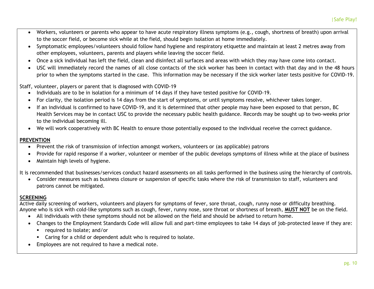- Workers, volunteers or parents who appear to have acute respiratory illness symptoms (e.g., cough, shortness of breath) upon arrival to the soccer field, or become sick while at the field, should begin isolation at home immediately.
- Symptomatic employees/volunteers should follow hand hygiene and respiratory etiquette and maintain at least 2 metres away from other employees, volunteers, parents and players while leaving the soccer field.
- Once a sick individual has left the field, clean and disinfect all surfaces and areas with which they may have come into contact.
- USC will immediately record the names of all close contacts of the sick worker has been in contact with that day and in the 48 hours prior to when the symptoms started in the case. This information may be necessary if the sick worker later tests positive for COVID-19.

Staff, volunteer, players or parent that is diagnosed with COVID-19

- Individuals are to be in isolation for a minimum of 14 days if they have tested positive for COVID-19.
- For clarity, the isolation period is 14 days from the start of symptoms, or until symptoms resolve, whichever takes longer.
- If an individual is confirmed to have COVID-19, and it is determined that other people may have been exposed to that person, BC Health Services may be in contact USC to provide the necessary public health guidance. Records may be sought up to two-weeks prior to the individual becoming ill.
- We will work cooperatively with BC Health to ensure those potentially exposed to the individual receive the correct guidance.

#### **PREVENTION**

- Prevent the risk of transmission of infection amongst workers, volunteers or (as applicable) patrons
- Provide for rapid response if a worker, volunteer or member of the public develops symptoms of illness while at the place of business
- Maintain high levels of hygiene.

It is recommended that businesses/services conduct hazard assessments on all tasks performed in the business using the hierarchy of controls.

 Consider measures such as business closure or suspension of specific tasks where the risk of transmission to staff, volunteers and patrons cannot be mitigated.

#### **SCREENING**

Active daily screening of workers, volunteers and players for symptoms of fever, sore throat, cough, runny nose or difficulty breathing. Anyone who is sick with cold-like symptoms such as cough, fever, runny nose, sore throat or shortness of breath, **MUST NOT** be on the field.

- All individuals with these symptoms should not be allowed on the field and should be advised to return home.
- Changes to the Employment Standards Code will allow full and part-time employees to take 14 days of job-protected leave if they are:
	- $\blacksquare$  required to isolate; and/or
	- Caring for a child or dependent adult who is required to isolate.
- Employees are not required to have a medical note.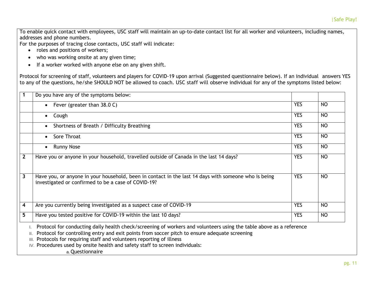To enable quick contact with employees, USC staff will maintain an up-to-date contact list for all worker and volunteers, including names, addresses and phone numbers.

For the purposes of tracing close contacts, USC staff will indicate:

- roles and positions of workers;
- who was working onsite at any given time;
- If a worker worked with anyone else on any given shift.

Protocol for screening of staff, volunteers and players for COVID-19 upon arrival (Suggested questionnaire below). If an individual answers YES to any of the questions, he/she SHOULD NOT be allowed to coach. USC staff will observe individual for any of the symptoms listed below:

|              | Do you have any of the symptoms below:                                                                                                                      |            |           |
|--------------|-------------------------------------------------------------------------------------------------------------------------------------------------------------|------------|-----------|
|              | Fever (greater than 38.0 C)<br>$\bullet$                                                                                                                    | <b>YES</b> | <b>NO</b> |
|              | Cough<br>$\bullet$                                                                                                                                          | <b>YES</b> | <b>NO</b> |
|              | Shortness of Breath / Difficulty Breathing<br>$\bullet$                                                                                                     | <b>YES</b> | <b>NO</b> |
|              | Sore Throat<br>$\bullet$                                                                                                                                    | <b>YES</b> | NO        |
|              | <b>Runny Nose</b>                                                                                                                                           | <b>YES</b> | <b>NO</b> |
| $\mathbf{2}$ | Have you or anyone in your household, travelled outside of Canada in the last 14 days?                                                                      | <b>YES</b> | NO        |
| 3            | Have you, or anyone in your household, been in contact in the last 14 days with someone who is being<br>investigated or confirmed to be a case of COVID-19? | <b>YES</b> | <b>NO</b> |
| 4            | Are you currently being investigated as a suspect case of COVID-19                                                                                          | <b>YES</b> | NO        |
| 5            | Have you tested positive for COVID-19 within the last 10 days?                                                                                              | <b>YES</b> | <b>NO</b> |

III. Protocols for requiring staff and volunteers reporting of illness

IV. Procedures used by onsite health and safety staff to screen individuals:

a.Questionnaire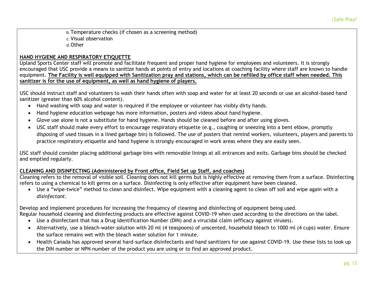b.Temperature checks (if chosen as a screening method) c. Visual observation d.Other

#### **HAND HYGIENE AND RESPIRATORY ETIQUETTE**

Upland Sports Center staff will promote and facilitate frequent and proper hand hygiene for employees and volunteers. It is strongly encouraged that USC provide a means to sanitize hands at points of entry and locations at coaching facility where staff are known to handle equipment. **The Facility is well equipped with Sanitization pray and stations, which can be refilled by office staff when needed. This sanitizer is for the use of equipment, as well as hand hygiene of players.**

USC should instruct staff and volunteers to wash their hands often with soap and water for at least 20 seconds or use an alcohol-based hand sanitizer (greater than 60% alcohol content).

- Hand washing with soap and water is required if the employee or volunteer has visibly dirty hands.
- Hand hygiene education webpage has more information, posters and videos about hand hygiene.
- Glove use alone is not a substitute for hand hygiene. Hands should be cleaned before and after using gloves.
- USC staff should make every effort to encourage respiratory etiquette (e.g., coughing or sneezing into a bent elbow, promptly disposing of used tissues in a lined garbage bin) is followed. The use of posters that remind workers, volunteers, players and parents to practice respiratory etiquette and hand hygiene is strongly encouraged in work areas where they are easily seen.

USC staff should consider placing additional garbage bins with removable linings at all entrances and exits. Garbage bins should be checked and emptied regularly.

#### **CLEANING AND DISINFECTING (Administered by Front office, Field Set up Staff, and coaches)**

Cleaning refers to the removal of visible soil. Cleaning does not kill germs but is highly effective at removing them from a surface. Disinfecting refers to using a chemical to kill germs on a surface. Disinfecting is only effective after equipment have been cleaned.

 Use a "wipe-twice" method to clean and disinfect. Wipe equipment with a cleaning agent to clean off soil and wipe again with a *disinfectant*.

Develop and implement procedures for increasing the frequency of cleaning and disinfecting of equipment being used. Regular household cleaning and disinfecting products are effective against COVID-19 when used according to the directions on the label.

- Use a disinfectant that has a Drug Identification Number (DIN) and a virucidal claim (efficacy against viruses).
- Alternatively, use a bleach-water solution with 20 ml (4 teaspoons) of unscented, household bleach to 1000 ml (4 cups) water. Ensure the surface remains wet with the bleach water solution for 1 minute.
- Health Canada has approved several hard-surface disinfectants and hand sanitizers for use against COVID-19. Use these lists to look up the DIN number or NPN number of the product you are using or to find an approved product.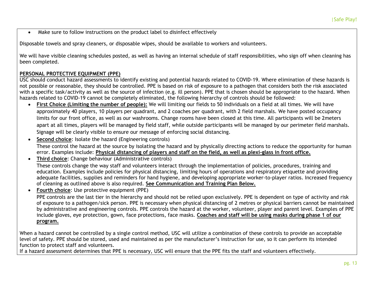Make sure to follow instructions on the product label to disinfect effectively

Disposable towels and spray cleaners, or disposable wipes, should be available to workers and volunteers.

We will have visible cleaning schedules posted, as well as having an internal schedule of staff responsibilities, who sign off when cleaning has been completed.

#### **PERSONAL PROTECTIVE EQUIPMENT (PPE)**

USC should conduct hazard assessments to identify existing and potential hazards related to COVID-19. Where elimination of these hazards is not possible or reasonable, they should be controlled. PPE is based on risk of exposure to a pathogen that considers both the risk associated with a specific task/activity as well as the source of infection (e.g. ill person). PPE that is chosen should be appropriate to the hazard. When hazards related to COVID-19 cannot be completely eliminated, the following hierarchy of controls should be followed:

- **First Choice (Limiting the number of people):** We will limiting our fields to 50 individuals on a field at all times. We will have approximately 40 players, 10 players per quadrant, and 2 coaches per quadrant, with 2 field marshals. We have posted occupancy limits for our front office, as well as our washrooms. Change rooms have been closed at this time. All participants will be 2meters apart at all times, players will be managed by field staff, while outside participants will be managed by our perimeter field marshals. Signage will be clearly visible to ensure our message of enforcing social distancing.
- **Second choice**: Isolate the hazard (Engineering controls) These control the hazard at the source by isolating the hazard and by physically directing actions to reduce the opportunity for human error. Examples include: **Physical distancing of players and staff on the field, as well as plexi-glass in front office.**
- **Third choice**: Change behaviour (Administrative controls) These controls change the way staff and volunteers interact through the implementation of policies, procedures, training and education. Examples include policies for physical distancing, limiting hours of operations and respiratory etiquette and providing adequate facilities, supplies and reminders for hand hygiene, and developing appropriate worker-to-player ratios. Increased frequency of cleaning as outlined above is also required. **See Communication and Training Plan Below.**

**Fourth choice**: Use protective equipment (PPE)

PPE controls are the last tier in the hierarchy and should not be relied upon exclusively. PPE is dependent on type of activity and risk of exposure to a pathogen/sick person. PPE is necessary when physical distancing of 2 metres or physical barriers cannot be maintained by administrative and engineering controls. PPE controls the hazard at the worker, volunteer, player and parent level. Examples of PPE include gloves, eye protection, gown, face protections, face masks. **Coaches and staff will be using masks during phase 1 of our program.** 

When a hazard cannot be controlled by a single control method, USC will utilize a combination of these controls to provide an acceptable level of safety. PPE should be stored, used and maintained as per the manufacturer's instruction for use, so it can perform its intended function to protect staff and volunteers.

If a hazard assessment determines that PPE is necessary, USC will ensure that the PPE fits the staff and volunteers effectively.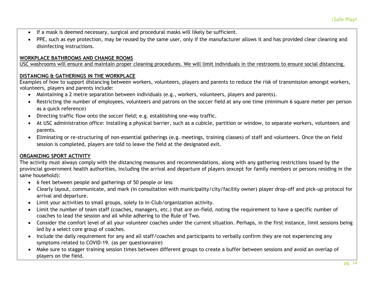- If a mask is deemed necessary, surgical and procedural masks will likely be sufficient.
- PPE, such as eye protection, may be reused by the same user, only if the manufacturer allows it and has provided clear cleaning and disinfecting instructions.

#### **WORKPLACE BATHROOMS AND CHANGE ROOMS**

USC washrooms will ensure and maintain proper cleaning procedures. We will limit individuals in the restrooms to ensure social distancing.

#### **DISTANCING & GATHERINGS IN THE WORKPLACE**

Examples of how to support distancing between workers, volunteers, players and parents to reduce the risk of transmission amongst workers, volunteers, players and parents include:

- Maintaining a 2 metre separation between individuals (e.g., workers, volunteers, players and parents).
- Restricting the number of employees, volunteers and patrons on the soccer field at any one time (minimum 6 square meter per person as a quick reference)
- Directing traffic flow onto the soccer field; e.g. establishing one-way traffic.
- At USC administration office: Installing a physical barrier, such as a cubicle, partition or window, to separate workers, volunteers and parents.
- Eliminating or re-structuring of non-essential gatherings (e.g. meetings, training classes) of staff and volunteers. Once the on field session is completed, players are told to leave the field at the designated exit.

#### **ORGANIZING SPORT ACTIVITY**

The activity must always comply with the distancing measures and recommendations, along with any gathering restrictions issued by the provincial government health authorities, including the arrival and departure of players (except for family members or persons residing in the same household):

- 6 feet between people and gatherings of 50 people or less
- Clearly layout, communicate, and mark (in consultation with municipality/city/facility owner) player drop-off and pick-up protocol for arrival and departure.
- Limit your activities to small groups, solely to in-Club/organization activity.
- Limit the number of team staff (coaches, managers, etc.) that are on-field, noting the requirement to have a specific number of coaches to lead the session and all while adhering to the Rule of Two.
- Consider the comfort level of all your volunteer coaches under the current situation. Perhaps, in the first instance, limit sessions being led by a select core group of coaches.
- Include the daily requirement for any and all staff/coaches and participants to verbally confirm they are not experiencing any symptoms related to COVID-19. (as per questionnaire)
- Make sure to stagger training session times between different groups to create a buffer between sessions and avoid an overlap of players on the field.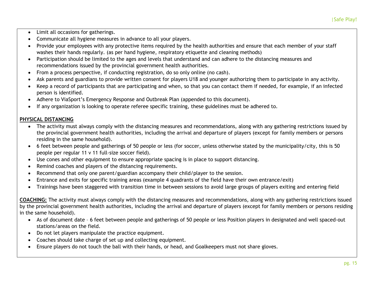- Limit all occasions for gatherings.
- Communicate all hygiene measures in advance to all your players.
- Provide your employees with any protective items required by the health authorities and ensure that each member of your staff washes their hands regularly. (as per hand hygiene, respiratory etiquette and cleaning methods)
- Participation should be limited to the ages and levels that understand and can adhere to the distancing measures and recommendations issued by the provincial government health authorities.
- From a process perspective, if conducting registration, do so only online (no cash).
- Ask parents and guardians to provide written consent for players U18 and younger authorizing them to participate in any activity.
- Keep a record of participants that are participating and when, so that you can contact them if needed, for example, if an infected person is identified.
- Adhere to ViaSport's Emergency Response and Outbreak Plan (appended to this document).
- If any organization is looking to operate referee specific training, these guidelines must be adhered to.

#### **PHYSICAL DISTANCING**

- The activity must always comply with the distancing measures and recommendations, along with any gathering restrictions issued by the provincial government health authorities, including the arrival and departure of players (except for family members or persons residing in the same household).
- 6 feet between people and gatherings of 50 people or less (for soccer, unless otherwise stated by the municipality/city, this is 50 people per regular 11 v 11 full-size soccer field).
- Use cones and other equipment to ensure appropriate spacing is in place to support distancing.
- Remind coaches and players of the distancing requirements.
- Recommend that only one parent/guardian accompany their child/player to the session.
- Entrance and exits for specific training areas (example 4 quadrants of the field have their own entrance/exit)
- Trainings have been staggered with transition time in between sessions to avoid large groups of players exiting and entering field

**COACHING:** The activity must always comply with the distancing measures and recommendations, along with any gathering restrictions issued by the provincial government health authorities, including the arrival and departure of players (except for family members or persons residing in the same household).

- As of document date 6 feet between people and gatherings of 50 people or less Position players in designated and well spaced-out stations/areas on the field.
- Do not let players manipulate the practice equipment.
- Coaches should take charge of set up and collecting equipment.
- Ensure players do not touch the ball with their hands, or head, and Goalkeepers must not share gloves.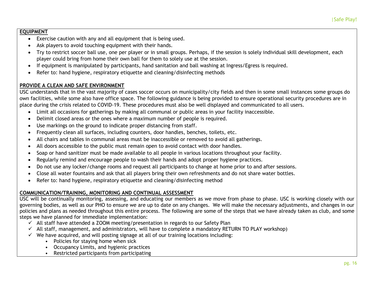#### **EQUIPMENT**

- Exercise caution with any and all equipment that is being used.
- Ask players to avoid touching equipment with their hands.
- Try to restrict soccer ball use, one per player or in small groups. Perhaps, if the session is solely individual skill development, each player could bring from home their own ball for them to solely use at the session.
- If equipment is manipulated by participants, hand sanitation and ball washing at Ingress/Egress is required.
- Refer to: hand hygiene, respiratory etiquette and cleaning/disinfecting methods

## **PROVIDE A CLEAN AND SAFE ENVIRONMENT**

USC understands that in the vast majority of cases soccer occurs on municipality/city fields and then in some small instances some groups do own facilities, while some also have office space. The following guidance is being provided to ensure operational security procedures are in place during the crisis related to COVID-19. These procedures must also be well displayed and communicated to all users.

- Limit all occasions for gatherings by making all communal or public areas in your facility inaccessible.
- Delimit closed areas or the ones where a maximum number of people is required.
- Use markings on the ground to indicate proper distancing from staff.
- Frequently clean all surfaces, including counters, door handles, benches, toilets, etc.
- All chairs and tables in communal areas must be inaccessible or removed to avoid all gatherings.
- All doors accessible to the public must remain open to avoid contact with door handles.
- Soap or hand sanitizer must be made available to all people in various locations throughout your facility.
- Regularly remind and encourage people to wash their hands and adopt proper hygiene practices.
- Do not use any locker/change rooms and request all participants to change at home prior to and after sessions.
- Close all water fountains and ask that all players bring their own refreshments and do not share water bottles.
- Refer to: hand hygiene, respiratory etiquette and cleaning/disinfecting method

## **COMMUNICATION/TRAINING, MONITORING AND CONTINUAL ASSESSMENT**

USC will be continually monitoring, assessing, and educating our members as we move from phase to phase. USC is working closely with our governing bodies, as well as our PHO to ensure we are up to date on any changes. We will make the necessary adjustments, and changes in our policies and plans as needed throughout this entire process. The following are some of the steps that we have already taken as club, and some steps we have planned for immediate implementation:

- $\checkmark$  All staff have attended a ZOOM meeting/presentation in regards to our Safety Plan
- $\checkmark$  All staff, management, and administrators, will have to complete a mandatory RETURN TO PLAY workshop)
- $\checkmark$  We have acquired, and will posting signage at all of our training locations including:
	- Policies for staying home when sick
	- Occupancy Limits, and hygienic practices
	- Restricted participants from participating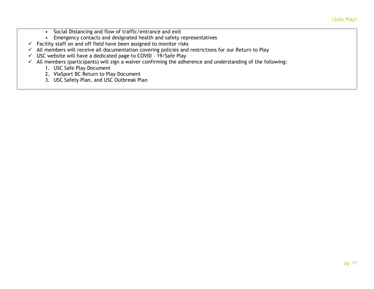- Social Distancing and flow of traffic/entrance and exit
- Emergency contacts and designated health and safety representatives
- $\checkmark$  Facility staff on and off field have been assigned to monitor risks
- $\checkmark$  All members will receive all documentation covering policies and restrictions for our Return to Play
- $\checkmark$  USC website will have a dedicated page to COVID 19/Safe Play
- $\checkmark$  All members (participants) will sign a waiver confirming the adherence and understanding of the following:
	- 1. USC Safe Play Document
	- 2. ViaSport BC Return to Play Document
	- 3. USC Safety Plan, and USC Outbreak Plan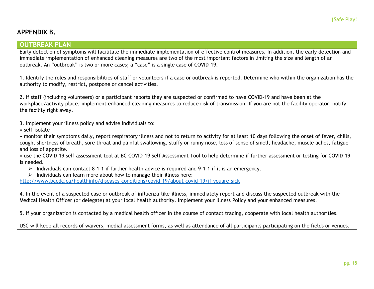## **APPENDIX B.**

#### **OUTBREAK PLAN**

Early detection of symptoms will facilitate the immediate implementation of effective control measures. In addition, the early detection and immediate implementation of enhanced cleaning measures are two of the most important factors in limiting the size and length of an outbreak. An "outbreak" is two or more cases; a "case" is a single case of COVID-19.

1. Identify the roles and responsibilities of staff or volunteers if a case or outbreak is reported. Determine who within the organization has the authority to modify, restrict, postpone or cancel activities.

2. If staff (including volunteers) or a participant reports they are suspected or confirmed to have COVID-19 and have been at the workplace/activity place, implement enhanced cleaning measures to reduce risk of transmission. If you are not the facility operator, notify the facility right away.

3. Implement your illness policy and advise individuals to:

• self-isolate

• monitor their symptoms daily, report respiratory illness and not to return to activity for at least 10 days following the onset of fever, chills, cough, shortness of breath, sore throat and painful swallowing, stuffy or runny nose, loss of sense of smell, headache, muscle aches, fatigue and loss of appetite.

• use the COVID-19 self-assessment tool at BC COVID-19 Self-Assessment Tool to help determine if further assessment or testing for COVID-19 is needed.

- $\triangleright$  Individuals can contact 8-1-1 if further health advice is required and 9-1-1 if it is an emergency.
- $\triangleright$  Individuals can learn more about how to manage their illness here:

<http://www.bccdc.ca/healthinfo/diseases-conditions/covid-19/about-covid-19/if-youare-sick>

4. In the event of a suspected case or outbreak of influenza-like-illness, immediately report and discuss the suspected outbreak with the Medical Health Officer (or delegate) at your local health authority. Implement your Illness Policy and your enhanced measures.

5. If your organization is contacted by a medical health officer in the course of contact tracing, cooperate with local health authorities.

USC will keep all records of waivers, medial assessment forms, as well as attendance of all participants participating on the fields or venues.